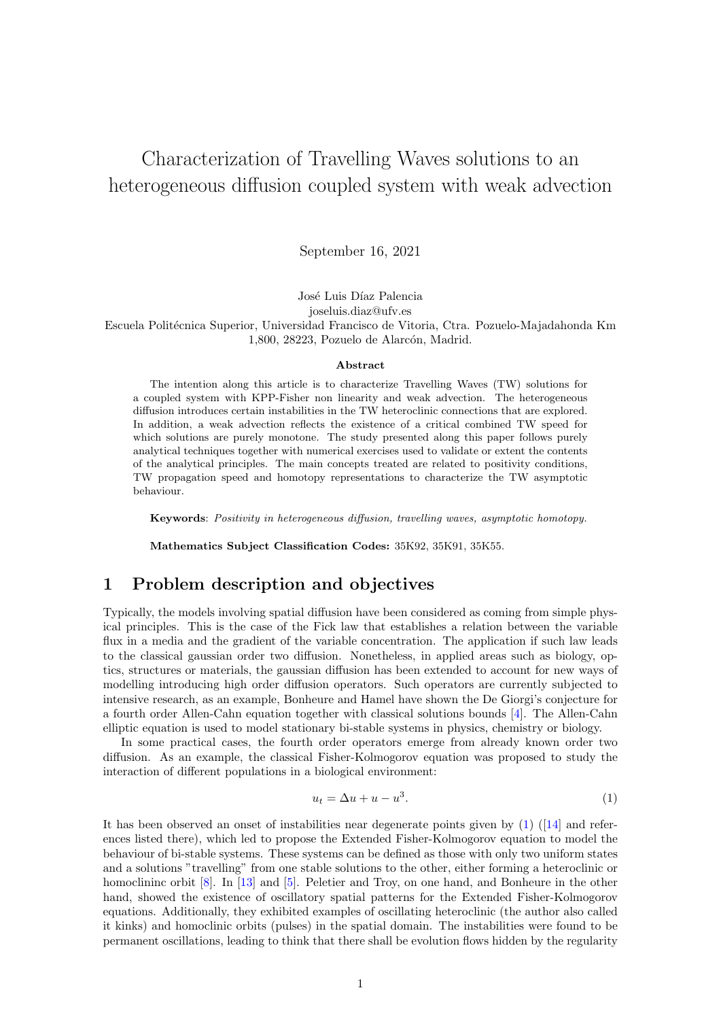# Characterization of Travelling Waves solutions to an heterogeneous diffusion coupled system with weak advection

September 16, 2021

José Luis Díaz Palencia

joseluis.diaz@ufv.es

Escuela Politécnica Superior, Universidad Francisco de Vitoria, Ctra. Pozuelo-Majadahonda Km 1,800, 28223, Pozuelo de Alarcón, Madrid.

#### Abstract

The intention along this article is to characterize Travelling Waves (TW) solutions for a coupled system with KPP-Fisher non linearity and weak advection. The heterogeneous diffusion introduces certain instabilities in the TW heteroclinic connections that are explored. In addition, a weak advection reflects the existence of a critical combined TW speed for which solutions are purely monotone. The study presented along this paper follows purely analytical techniques together with numerical exercises used to validate or extent the contents of the analytical principles. The main concepts treated are related to positivity conditions, TW propagation speed and homotopy representations to characterize the TW asymptotic behaviour.

Keywords: Positivity in heterogeneous diffusion, travelling waves, asymptotic homotopy.

Mathematics Subject Classification Codes: 35K92, 35K91, 35K55.

## 1 Problem description and objectives

Typically, the models involving spatial diffusion have been considered as coming from simple physical principles. This is the case of the Fick law that establishes a relation between the variable flux in a media and the gradient of the variable concentration. The application if such law leads to the classical gaussian order two diffusion. Nonetheless, in applied areas such as biology, optics, structures or materials, the gaussian diffusion has been extended to account for new ways of modelling introducing high order diffusion operators. Such operators are currently subjected to intensive research, as an example, Bonheure and Hamel have shown the De Giorgi's conjecture for a fourth order Allen-Cahn equation together with classical solutions bounds [\[4\]](#page-14-0). The Allen-Cahn elliptic equation is used to model stationary bi-stable systems in physics, chemistry or biology.

In some practical cases, the fourth order operators emerge from already known order two diffusion. As an example, the classical Fisher-Kolmogorov equation was proposed to study the interaction of different populations in a biological environment:

<span id="page-0-0"></span>
$$
u_t = \Delta u + u - u^3. \tag{1}
$$

It has been observed an onset of instabilities near degenerate points given by [\(1\)](#page-0-0) ([\[14\]](#page-15-0) and references listed there), which led to propose the Extended Fisher-Kolmogorov equation to model the behaviour of bi-stable systems. These systems can be defined as those with only two uniform states and a solutions "travelling" from one stable solutions to the other, either forming a heteroclinic or homoclininc orbit [\[8\]](#page-14-1). In [\[13\]](#page-15-1) and [\[5\]](#page-14-2). Peletier and Troy, on one hand, and Bonheure in the other hand, showed the existence of oscillatory spatial patterns for the Extended Fisher-Kolmogorov equations. Additionally, they exhibited examples of oscillating heteroclinic (the author also called it kinks) and homoclinic orbits (pulses) in the spatial domain. The instabilities were found to be permanent oscillations, leading to think that there shall be evolution flows hidden by the regularity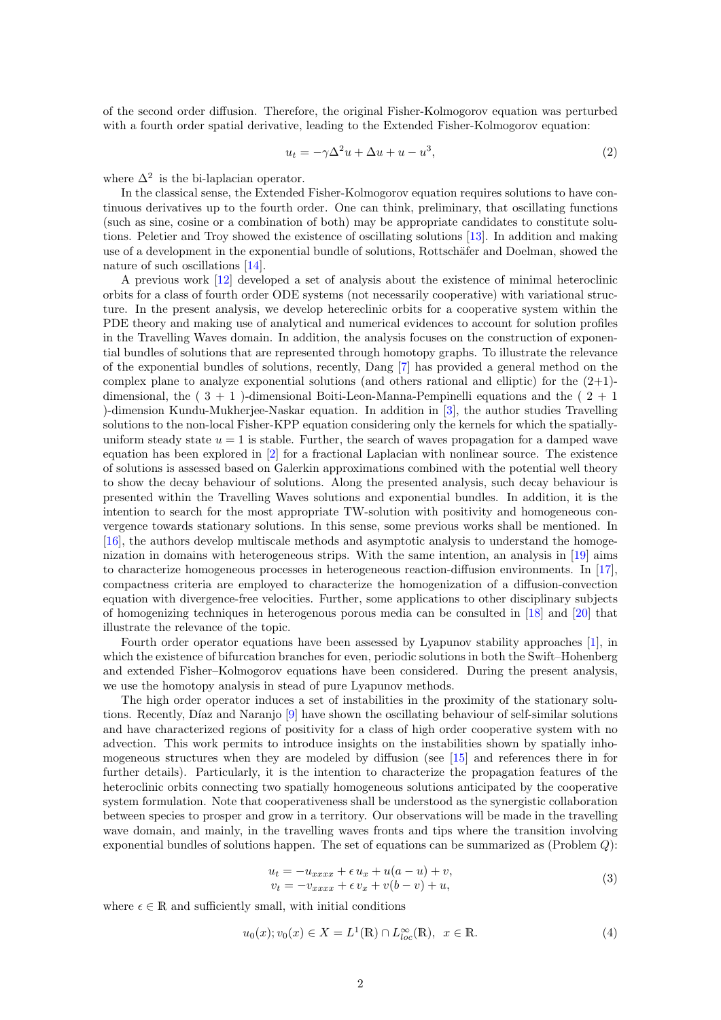of the second order diffusion. Therefore, the original Fisher-Kolmogorov equation was perturbed with a fourth order spatial derivative, leading to the Extended Fisher-Kolmogorov equation:

$$
u_t = -\gamma \Delta^2 u + \Delta u + u - u^3,\tag{2}
$$

where  $\Delta^2$  is the bi-laplacian operator.

In the classical sense, the Extended Fisher-Kolmogorov equation requires solutions to have continuous derivatives up to the fourth order. One can think, preliminary, that oscillating functions (such as sine, cosine or a combination of both) may be appropriate candidates to constitute solutions. Peletier and Troy showed the existence of oscillating solutions [\[13\]](#page-15-1). In addition and making use of a development in the exponential bundle of solutions, Rottschäfer and Doelman, showed the nature of such oscillations [\[14\]](#page-15-0).

A previous work [\[12\]](#page-15-2) developed a set of analysis about the existence of minimal heteroclinic orbits for a class of fourth order ODE systems (not necessarily cooperative) with variational structure. In the present analysis, we develop hetereclinic orbits for a cooperative system within the PDE theory and making use of analytical and numerical evidences to account for solution profiles in the Travelling Waves domain. In addition, the analysis focuses on the construction of exponential bundles of solutions that are represented through homotopy graphs. To illustrate the relevance of the exponential bundles of solutions, recently, Dang [\[7\]](#page-14-3) has provided a general method on the complex plane to analyze exponential solutions (and others rational and elliptic) for the  $(2+1)$ dimensional, the  $(3 + 1)$ -dimensional Boiti-Leon-Manna-Pempinelli equations and the  $(2 + 1)$ )-dimension Kundu-Mukherjee-Naskar equation. In addition in [\[3\]](#page-14-4), the author studies Travelling solutions to the non-local Fisher-KPP equation considering only the kernels for which the spatiallyuniform steady state  $u = 1$  is stable. Further, the search of waves propagation for a damped wave equation has been explored in [\[2\]](#page-14-5) for a fractional Laplacian with nonlinear source. The existence of solutions is assessed based on Galerkin approximations combined with the potential well theory to show the decay behaviour of solutions. Along the presented analysis, such decay behaviour is presented within the Travelling Waves solutions and exponential bundles. In addition, it is the intention to search for the most appropriate TW-solution with positivity and homogeneous convergence towards stationary solutions. In this sense, some previous works shall be mentioned. In [\[16\]](#page-15-3), the authors develop multiscale methods and asymptotic analysis to understand the homoge-nization in domains with heterogeneous strips. With the same intention, an analysis in [\[19\]](#page-15-4) aims to characterize homogeneous processes in heterogeneous reaction-diffusion environments. In [\[17\]](#page-15-5), compactness criteria are employed to characterize the homogenization of a diffusion-convection equation with divergence-free velocities. Further, some applications to other disciplinary subjects of homogenizing techniques in heterogenous porous media can be consulted in [\[18\]](#page-15-6) and [\[20\]](#page-15-7) that illustrate the relevance of the topic.

Fourth order operator equations have been assessed by Lyapunov stability approaches [\[1\]](#page-14-6), in which the existence of bifurcation branches for even, periodic solutions in both the Swift–Hohenberg and extended Fisher–Kolmogorov equations have been considered. During the present analysis, we use the homotopy analysis in stead of pure Lyapunov methods.

The high order operator induces a set of instabilities in the proximity of the stationary solu-tions. Recently, Díaz and Naranjo [\[9\]](#page-14-7) have shown the oscillating behaviour of self-similar solutions and have characterized regions of positivity for a class of high order cooperative system with no advection. This work permits to introduce insights on the instabilities shown by spatially inhomogeneous structures when they are modeled by diffusion (see [\[15\]](#page-15-8) and references there in for further details). Particularly, it is the intention to characterize the propagation features of the heteroclinic orbits connecting two spatially homogeneous solutions anticipated by the cooperative system formulation. Note that cooperativeness shall be understood as the synergistic collaboration between species to prosper and grow in a territory. Our observations will be made in the travelling wave domain, and mainly, in the travelling waves fronts and tips where the transition involving exponential bundles of solutions happen. The set of equations can be summarized as (Problem Q):

$$
u_t = -u_{xxxx} + \epsilon u_x + u(a - u) + v,
$$
  
\n
$$
v_t = -v_{xxxx} + \epsilon v_x + v(b - v) + u,
$$
\n(3)

<span id="page-1-0"></span>where  $\epsilon \in \mathbb{R}$  and sufficiently small, with initial conditions

$$
u_0(x); v_0(x) \in X = L^1(\mathbb{R}) \cap L_{loc}^{\infty}(\mathbb{R}), \ \ x \in \mathbb{R}.
$$
 (4)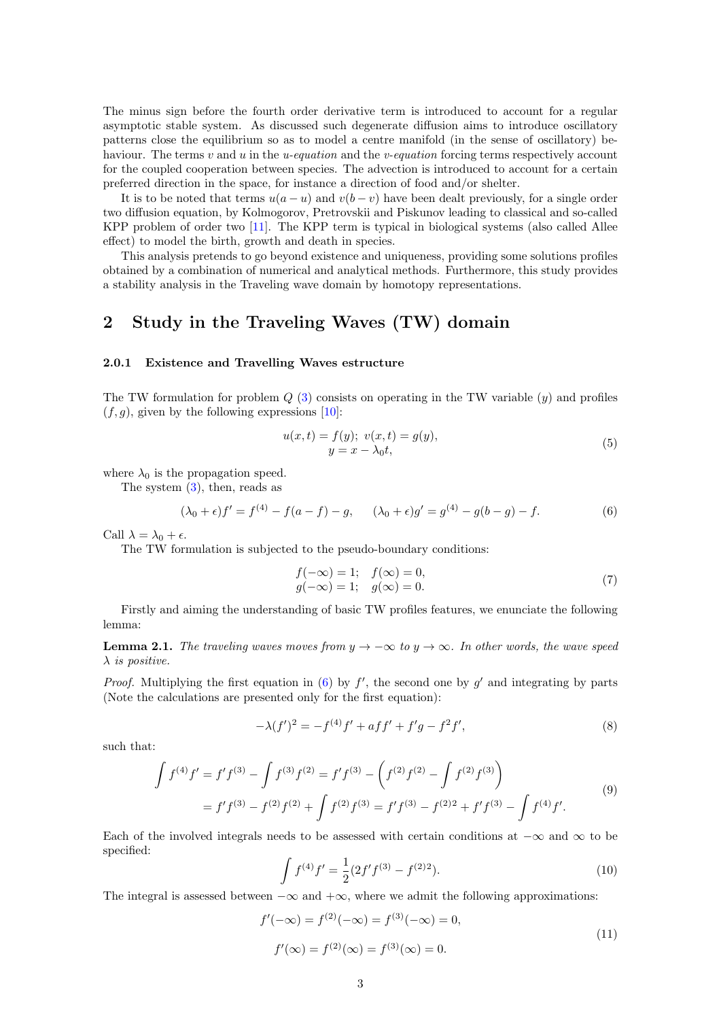The minus sign before the fourth order derivative term is introduced to account for a regular asymptotic stable system. As discussed such degenerate diffusion aims to introduce oscillatory patterns close the equilibrium so as to model a centre manifold (in the sense of oscillatory) behaviour. The terms  $v$  and  $u$  in the *u-equation* and the *v-equation* forcing terms respectively account for the coupled cooperation between species. The advection is introduced to account for a certain preferred direction in the space, for instance a direction of food and/or shelter.

It is to be noted that terms  $u(a - u)$  and  $v(b - v)$  have been dealt previously, for a single order two diffusion equation, by Kolmogorov, Pretrovskii and Piskunov leading to classical and so-called KPP problem of order two [\[11\]](#page-15-9). The KPP term is typical in biological systems (also called Allee effect) to model the birth, growth and death in species.

This analysis pretends to go beyond existence and uniqueness, providing some solutions profiles obtained by a combination of numerical and analytical methods. Furthermore, this study provides a stability analysis in the Traveling wave domain by homotopy representations.

## 2 Study in the Traveling Waves (TW) domain

### 2.0.1 Existence and Travelling Waves estructure

The TW formulation for problem  $Q(3)$  $Q(3)$  consists on operating in the TW variable  $(y)$  and profiles  $(f, g)$ , given by the following expressions [\[10\]](#page-15-10):

<span id="page-2-0"></span>
$$
u(x,t) = f(y); \ v(x,t) = g(y), \n y = x - \lambda_0 t,
$$
\n(5)

where  $\lambda_0$  is the propagation speed.

The system  $(3)$ , then, reads as

$$
(\lambda_0 + \epsilon) f' = f^{(4)} - f(a - f) - g, \qquad (\lambda_0 + \epsilon) g' = g^{(4)} - g(b - g) - f. \tag{6}
$$

Call  $\lambda = \lambda_0 + \epsilon$ .

The TW formulation is subjected to the pseudo-boundary conditions:

<span id="page-2-1"></span>
$$
f(-\infty) = 1;
$$
  $f(\infty) = 0,$   
\n $g(-\infty) = 1;$   $g(\infty) = 0.$  (7)

Firstly and aiming the understanding of basic TW profiles features, we enunciate the following lemma:

**Lemma 2.1.** The traveling waves moves from  $y \to -\infty$  to  $y \to \infty$ . In other words, the wave speed  $\lambda$  is positive.

*Proof.* Multiplying the first equation in [\(6\)](#page-2-0) by  $f'$ , the second one by  $g'$  and integrating by parts (Note the calculations are presented only for the first equation):

$$
-\lambda(f')^{2} = -f^{(4)}f' + aff' + f'g - f^{2}f',
$$
\n(8)

such that:

$$
\int f^{(4)} f' = f' f^{(3)} - \int f^{(3)} f^{(2)} = f' f^{(3)} - \left( f^{(2)} f^{(2)} - \int f^{(2)} f^{(3)} \right)
$$
  
=  $f' f^{(3)} - f^{(2)} f^{(2)} + \int f^{(2)} f^{(3)} = f' f^{(3)} - f^{(2)}^2 + f' f^{(3)} - \int f^{(4)} f'.$  (9)

Each of the involved integrals needs to be assessed with certain conditions at  $-\infty$  and  $\infty$  to be specified:

$$
\int f^{(4)} f' = \frac{1}{2} (2f' f^{(3)} - f^{(2)2}).
$$
\n(10)

The integral is assessed between  $-\infty$  and  $+\infty$ , where we admit the following approximations:

$$
f'(-\infty) = f^{(2)}(-\infty) = f^{(3)}(-\infty) = 0,
$$
  

$$
f'(\infty) = f^{(2)}(\infty) = f^{(3)}(\infty) = 0.
$$
 (11)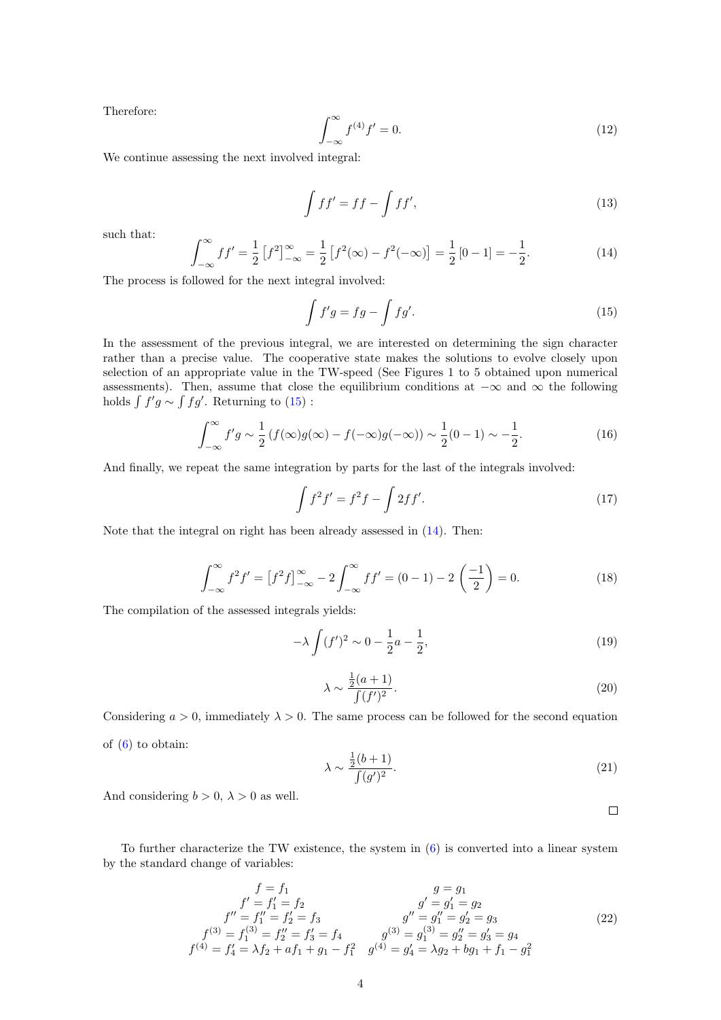Therefore:

$$
\int_{-\infty}^{\infty} f^{(4)} f' = 0.
$$
 (12)

We continue assessing the next involved integral:

$$
\int f f' = f f - \int f f',\tag{13}
$$

such that:

<span id="page-3-1"></span>
$$
\int_{-\infty}^{\infty} f f' = \frac{1}{2} \left[ f^2 \right]_{-\infty}^{\infty} = \frac{1}{2} \left[ f^2(\infty) - f^2(-\infty) \right] = \frac{1}{2} \left[ 0 - 1 \right] = -\frac{1}{2}.
$$
 (14)

The process is followed for the next integral involved:

<span id="page-3-0"></span>
$$
\int f'g = fg - \int fg'.
$$
\n(15)

In the assessment of the previous integral, we are interested on determining the sign character rather than a precise value. The cooperative state makes the solutions to evolve closely upon selection of an appropriate value in the TW-speed (See Figures 1 to 5 obtained upon numerical assessments). Then, assume that close the equilibrium conditions at  $-\infty$  and  $\infty$  the following holds  $\int f'g \sim \int fg'$ . Returning to [\(15\)](#page-3-0):

$$
\int_{-\infty}^{\infty} f'g \sim \frac{1}{2} \left( f(\infty)g(\infty) - f(-\infty)g(-\infty) \right) \sim \frac{1}{2}(0-1) \sim -\frac{1}{2}.
$$
 (16)

And finally, we repeat the same integration by parts for the last of the integrals involved:

$$
\int f^2 f' = f^2 f - \int 2f f'.\tag{17}
$$

Note that the integral on right has been already assessed in [\(14\)](#page-3-1). Then:

$$
\int_{-\infty}^{\infty} f^2 f' = [f^2 f]_{-\infty}^{\infty} - 2 \int_{-\infty}^{\infty} f f' = (0 - 1) - 2 \left( \frac{-1}{2} \right) = 0.
$$
 (18)

The compilation of the assessed integrals yields:

$$
-\lambda \int (f')^2 \sim 0 - \frac{1}{2}a - \frac{1}{2},\tag{19}
$$

$$
\lambda \sim \frac{\frac{1}{2}(a+1)}{\int (f')^2}.\tag{20}
$$

Considering  $a > 0$ , immediately  $\lambda > 0$ . The same process can be followed for the second equation of  $(6)$  to obtain:

$$
\lambda \sim \frac{\frac{1}{2}(b+1)}{\int (g')^2}.\tag{21}
$$

And considering  $b > 0$ ,  $\lambda > 0$  as well.

 $\Box$ 

To further characterize the TW existence, the system in  $(6)$  is converted into a linear system by the standard change of variables:

$$
f = f_1
$$
  
\n
$$
f' = f'_1 = f_2
$$
  
\n
$$
f'' = f''_1 = f'_2 = f_3
$$
  
\n
$$
f^{(3)} = f_1^{(3)} = f'_2 = f'_3 = f_4
$$
  
\n
$$
f^{(4)} = f'_4 = \lambda f_2 + af_1 + g_1 - f_1^2
$$
  
\n
$$
g^{(3)} = g_1^{(3)} = g_2^{(3)} = g_3 = g_4
$$
  
\n
$$
g^{(4)} = g'_4 = \lambda g_2 + bg_1 + f_1 - g_1^2
$$
  
\n
$$
g^{(5)} = g_2^{(6)} = g_3 = g_4
$$
  
\n
$$
g^{(6)} = g_1^{(7)} = g_2^{(8)} = g_3 = g_4
$$
  
\n
$$
g^{(7)} = g'_1 = g_2
$$
  
\n
$$
g^{(8)} = g_1^{(8)} = g'_2 = g_3
$$
  
\n
$$
g^{(9)} = g_1^{(9)} = g'_2 = g_3
$$
  
\n
$$
g^{(1)} = g'_2 = g_3
$$
  
\n
$$
g^{(2)} = g_1^{(1)} = g'_2 = g_3
$$
  
\n
$$
g^{(3)} = g_1^{(3)} = g'_2 = g_3
$$
  
\n
$$
g^{(4)} = g'_4 = \lambda g_2 + bg_1 + f_1 - g_1^2
$$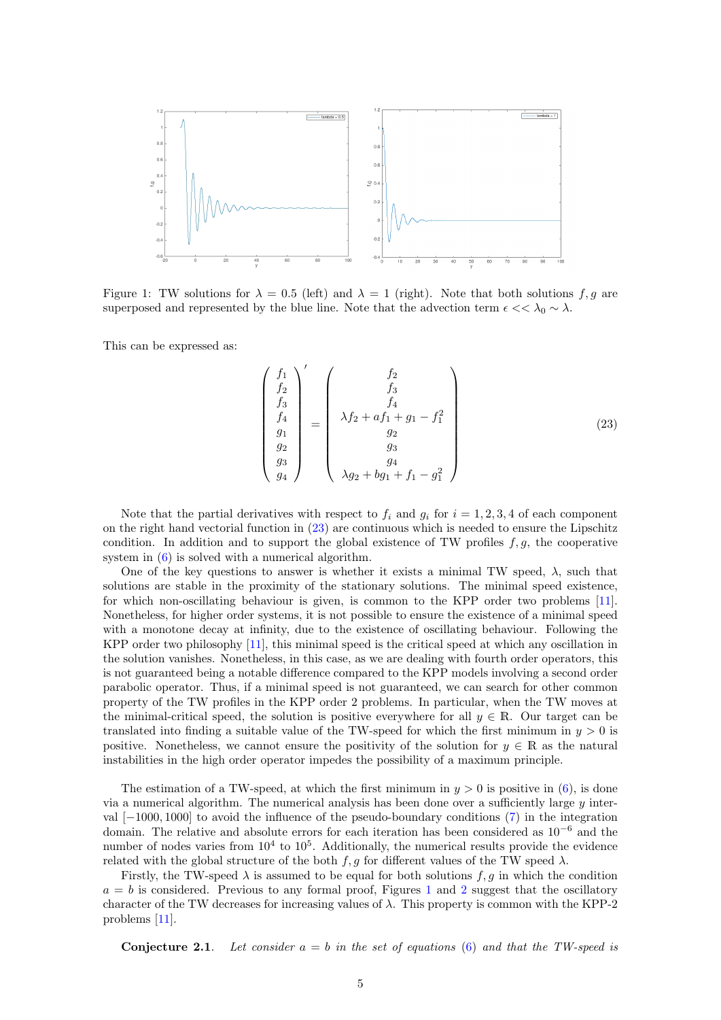

<span id="page-4-1"></span>Figure 1: TW solutions for  $\lambda = 0.5$  (left) and  $\lambda = 1$  (right). Note that both solutions f, g are superposed and represented by the blue line. Note that the advection term  $\epsilon \ll \lambda_0 \sim \lambda$ .

This can be expressed as:

<span id="page-4-0"></span>
$$
\begin{pmatrix}\nf_1 \\
f_2 \\
f_3 \\
f_4 \\
g_1 \\
g_2 \\
g_3 \\
g_4\n\end{pmatrix}' = \begin{pmatrix}\nf_2 \\
f_3 \\
f_4 \\
f_4 \\
g_2 \\
g_3 \\
g_4 \\
g_2 + bg_1 + f_1 - g_1^2\n\end{pmatrix}
$$
\n(23)

Note that the partial derivatives with respect to  $f_i$  and  $g_i$  for  $i = 1, 2, 3, 4$  of each component on the right hand vectorial function in [\(23\)](#page-4-0) are continuous which is needed to ensure the Lipschitz condition. In addition and to support the global existence of TW profiles  $f, g$ , the cooperative system in [\(6\)](#page-2-0) is solved with a numerical algorithm.

One of the key questions to answer is whether it exists a minimal TW speed,  $\lambda$ , such that solutions are stable in the proximity of the stationary solutions. The minimal speed existence, for which non-oscillating behaviour is given, is common to the KPP order two problems [\[11\]](#page-15-9). Nonetheless, for higher order systems, it is not possible to ensure the existence of a minimal speed with a monotone decay at infinity, due to the existence of oscillating behaviour. Following the KPP order two philosophy [\[11\]](#page-15-9), this minimal speed is the critical speed at which any oscillation in the solution vanishes. Nonetheless, in this case, as we are dealing with fourth order operators, this is not guaranteed being a notable difference compared to the KPP models involving a second order parabolic operator. Thus, if a minimal speed is not guaranteed, we can search for other common property of the TW profiles in the KPP order 2 problems. In particular, when the TW moves at the minimal-critical speed, the solution is positive everywhere for all  $y \in \mathbb{R}$ . Our target can be translated into finding a suitable value of the TW-speed for which the first minimum in  $y > 0$  is positive. Nonetheless, we cannot ensure the positivity of the solution for  $y \in \mathbb{R}$  as the natural instabilities in the high order operator impedes the possibility of a maximum principle.

The estimation of a TW-speed, at which the first minimum in  $y > 0$  is positive in [\(6\)](#page-2-0), is done via a numerical algorithm. The numerical analysis has been done over a sufficiently large  $y$  interval [−1000, 1000] to avoid the influence of the pseudo-boundary conditions [\(7\)](#page-2-1) in the integration domain. The relative and absolute errors for each iteration has been considered as  $10^{-6}$  and the number of nodes varies from  $10^4$  to  $10^5$ . Additionally, the numerical results provide the evidence related with the global structure of the both f, g for different values of the TW speed  $\lambda$ .

Firstly, the TW-speed  $\lambda$  is assumed to be equal for both solutions f, g in which the condition  $a = b$  is considered. Previous to any formal proof, Figures [1](#page-4-1) and [2](#page-5-0) suggest that the oscillatory character of the TW decreases for increasing values of  $\lambda$ . This property is common with the KPP-2 problems [\[11\]](#page-15-9).

**Conjecture 2.1.** Let consider  $a = b$  in the set of equations [\(6\)](#page-2-0) and that the TW-speed is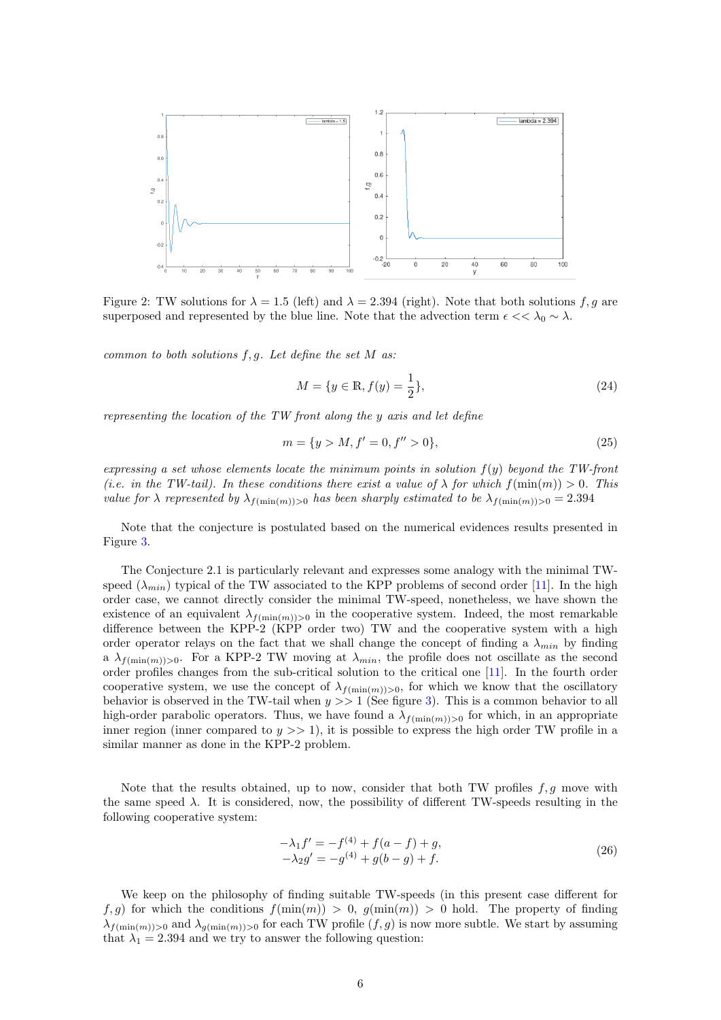

<span id="page-5-0"></span>Figure 2: TW solutions for  $\lambda = 1.5$  (left) and  $\lambda = 2.394$  (right). Note that both solutions f, q are superposed and represented by the blue line. Note that the advection term  $\epsilon << \lambda_0 \sim \lambda$ .

common to both solutions  $f, g$ . Let define the set M as:

$$
M = \{ y \in \mathbb{R}, f(y) = \frac{1}{2} \},
$$
\n(24)

representing the location of the TW front along the y axis and let define

$$
m = \{ y > M, f' = 0, f'' > 0 \},\tag{25}
$$

expressing a set whose elements locate the minimum points in solution  $f(y)$  beyond the TW-front (i.e. in the TW-tail). In these conditions there exist a value of  $\lambda$  for which  $f(\min(m)) > 0$ . This value for  $\lambda$  represented by  $\lambda_{f(\min(m))>0}$  has been sharply estimated to be  $\lambda_{f(\min(m))>0} = 2.394$ 

Note that the conjecture is postulated based on the numerical evidences results presented in Figure [3.](#page-6-0)

The Conjecture 2.1 is particularly relevant and expresses some analogy with the minimal TWspeed  $(\lambda_{min})$  typical of the TW associated to the KPP problems of second order [\[11\]](#page-15-9). In the high order case, we cannot directly consider the minimal TW-speed, nonetheless, we have shown the existence of an equivalent  $\lambda_{f(\min(m))>0}$  in the cooperative system. Indeed, the most remarkable difference between the KPP-2 (KPP order two) TW and the cooperative system with a high order operator relays on the fact that we shall change the concept of finding a  $\lambda_{min}$  by finding a  $\lambda_{f(\min(m))>0}$ . For a KPP-2 TW moving at  $\lambda_{min}$ , the profile does not oscillate as the second order profiles changes from the sub-critical solution to the critical one [\[11\]](#page-15-9). In the fourth order cooperative system, we use the concept of  $\lambda_{f(\min(m))>0}$ , for which we know that the oscillatory behavior is observed in the TW-tail when  $y \gg 1$  (See figure [3\)](#page-6-0). This is a common behavior to all high-order parabolic operators. Thus, we have found a  $\lambda_{f(\min(m))>0}$  for which, in an appropriate inner region (inner compared to  $y \gg 1$ ), it is possible to express the high order TW profile in a similar manner as done in the KPP-2 problem.

Note that the results obtained, up to now, consider that both TW profiles  $f, g$  move with the same speed  $\lambda$ . It is considered, now, the possibility of different TW-speeds resulting in the following cooperative system:

$$
-\lambda_1 f' = -f^{(4)} + f(a - f) + g,\n-\lambda_2 g' = -g^{(4)} + g(b - g) + f.
$$
\n(26)

We keep on the philosophy of finding suitable TW-speeds (in this present case different for  $f, g$  for which the conditions  $f(\min(m)) > 0$ ,  $g(\min(m)) > 0$  hold. The property of finding  $\lambda_{f(\min(m))>0}$  and  $\lambda_{g(\min(m))>0}$  for each TW profile  $(f,g)$  is now more subtle. We start by assuming that  $\lambda_1 = 2.394$  and we try to answer the following question: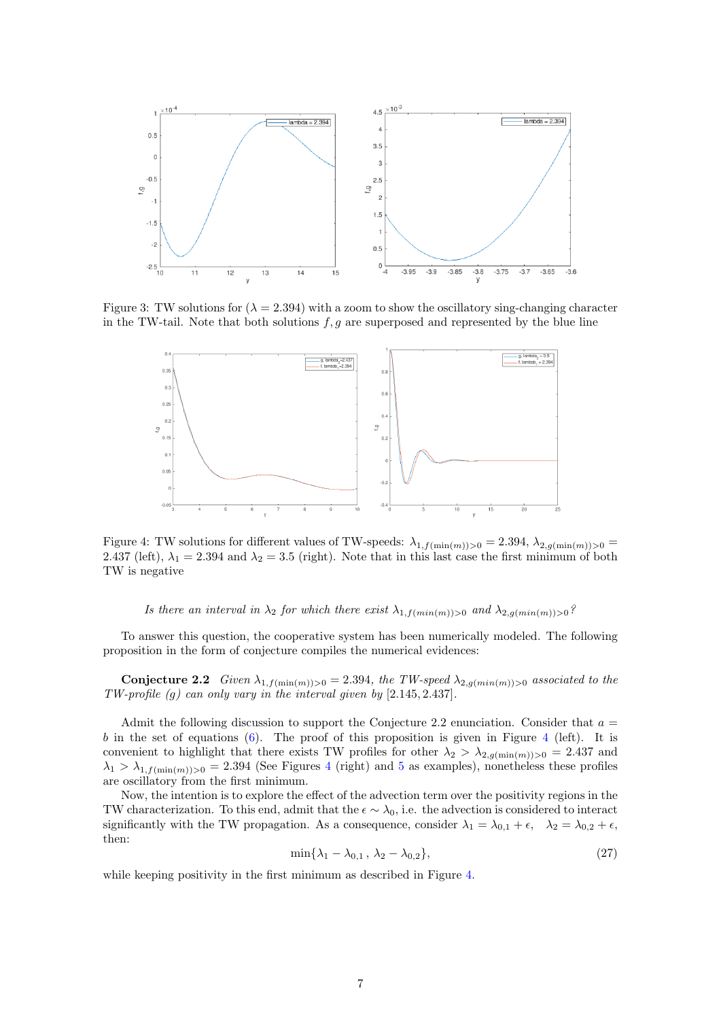

Figure 3: TW solutions for  $(\lambda = 2.394)$  with a zoom to show the oscillatory sing-changing character in the TW-tail. Note that both solutions  $f, g$  are superposed and represented by the blue line

<span id="page-6-0"></span>

<span id="page-6-1"></span>Figure 4: TW solutions for different values of TW-speeds:  $\lambda_{1,f(\min(m))>0} = 2.394, \lambda_{2,g(\min(m))>0} =$ 2.437 (left),  $\lambda_1 = 2.394$  and  $\lambda_2 = 3.5$  (right). Note that in this last case the first minimum of both TW is negative

Is there an interval in  $\lambda_2$  for which there exist  $\lambda_{1,f(min(m))>0}$  and  $\lambda_{2,q(min(m))>0}$ ?

To answer this question, the cooperative system has been numerically modeled. The following proposition in the form of conjecture compiles the numerical evidences:

**Conjecture 2.2** Given  $\lambda_{1,f(\min(m))>0} = 2.394$ , the TW-speed  $\lambda_{2,g(\min(m))>0}$  associated to the TW-profile (g) can only vary in the interval given by [2.145, 2.437].

Admit the following discussion to support the Conjecture 2.2 enunciation. Consider that  $a =$ b in the set of equations [\(6\)](#page-2-0). The proof of this proposition is given in Figure [4](#page-6-1) (left). It is convenient to highlight that there exists TW profiles for other  $\lambda_2 > \lambda_{2,g(\min(m))>0} = 2.437$  and  $\lambda_1 > \lambda_{1,f(\min(m))>0} = 2.394$  $\lambda_1 > \lambda_{1,f(\min(m))>0} = 2.394$  (See Figures 4 (right) and [5](#page-7-0) as examples), nonetheless these profiles are oscillatory from the first minimum.

Now, the intention is to explore the effect of the advection term over the positivity regions in the TW characterization. To this end, admit that the  $\epsilon \sim \lambda_0$ , i.e. the advection is considered to interact significantly with the TW propagation. As a consequence, consider  $\lambda_1 = \lambda_{0,1} + \epsilon$ ,  $\lambda_2 = \lambda_{0,2} + \epsilon$ , then:

$$
\min\{\lambda_1 - \lambda_{0,1}, \lambda_2 - \lambda_{0,2}\},\tag{27}
$$

while keeping positivity in the first minimum as described in Figure [4.](#page-6-1)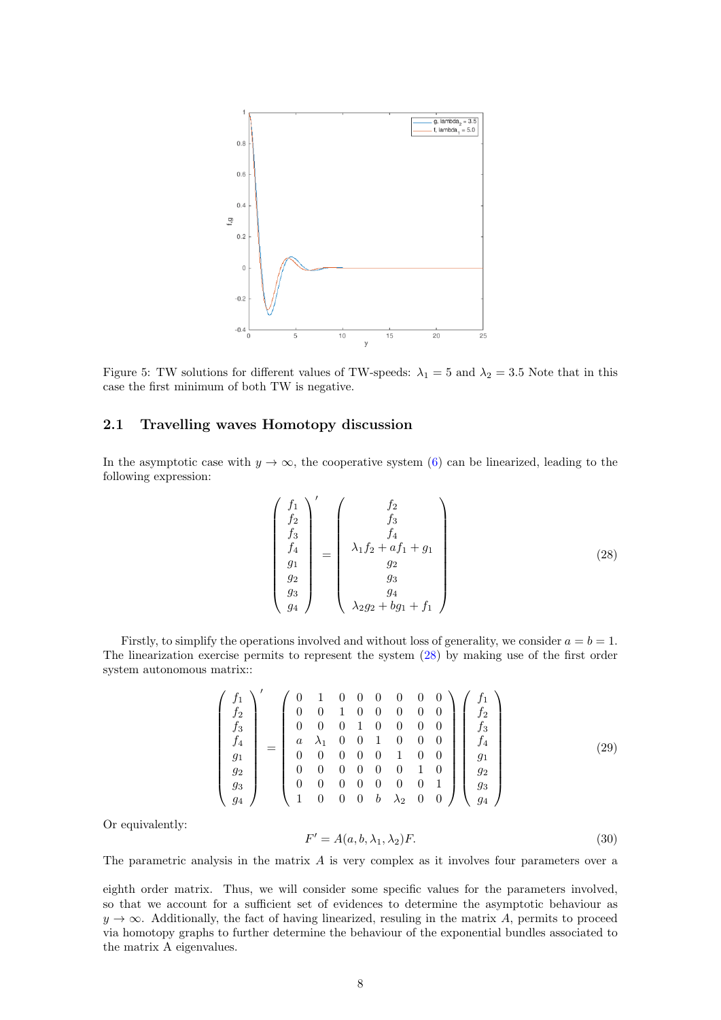

<span id="page-7-0"></span>Figure 5: TW solutions for different values of TW-speeds:  $\lambda_1 = 5$  and  $\lambda_2 = 3.5$  Note that in this case the first minimum of both TW is negative.

## 2.1 Travelling waves Homotopy discussion

<span id="page-7-1"></span>In the asymptotic case with  $y \to \infty$ , the cooperative system [\(6\)](#page-2-0) can be linearized, leading to the following expression:

$$
\begin{pmatrix}\nf_1 \\
f_2 \\
f_3 \\
f_4 \\
g_1 \\
g_2 \\
g_3 \\
g_4\n\end{pmatrix}' = \begin{pmatrix}\nf_2 \\
f_3 \\
f_4 \\
f_4 \\
g_2 \\
g_3 \\
g_4 \\
\lambda_2 g_2 + b g_1 + f_1\n\end{pmatrix}
$$
\n(28)

Firstly, to simplify the operations involved and without loss of generality, we consider  $a = b = 1$ . The linearization exercise permits to represent the system [\(28\)](#page-7-1) by making use of the first order system autonomous matrix::

<span id="page-7-2"></span>
$$
\begin{pmatrix}\nf_1 \\
f_2 \\
f_3 \\
f_4 \\
g_1 \\
g_2 \\
g_3 \\
g_4\n\end{pmatrix} = \begin{pmatrix}\n0 & 1 & 0 & 0 & 0 & 0 & 0 & 0 \\
0 & 0 & 1 & 0 & 0 & 0 & 0 & 0 \\
0 & 0 & 0 & 1 & 0 & 0 & 0 & 0 \\
a & \lambda_1 & 0 & 0 & 1 & 0 & 0 & 0 \\
0 & 0 & 0 & 0 & 0 & 1 & 0 & 0 \\
0 & 0 & 0 & 0 & 0 & 0 & 1 & 0 \\
1 & 0 & 0 & 0 & 0 & 0 & 0 & 1 \\
1 & 0 & 0 & 0 & b & \lambda_2 & 0 & 0\n\end{pmatrix} \begin{pmatrix}\nf_1 \\
f_2 \\
f_3 \\
f_4 \\
g_1 \\
g_2 \\
g_3 \\
g_4\n\end{pmatrix}
$$
\n(29)

Or equivalently:

$$
F' = A(a, b, \lambda_1, \lambda_2)F.
$$
\n(30)

The parametric analysis in the matrix A is very complex as it involves four parameters over a

eighth order matrix. Thus, we will consider some specific values for the parameters involved, so that we account for a sufficient set of evidences to determine the asymptotic behaviour as  $y \rightarrow \infty$ . Additionally, the fact of having linearized, resuling in the matrix A, permits to proceed via homotopy graphs to further determine the behaviour of the exponential bundles associated to the matrix A eigenvalues.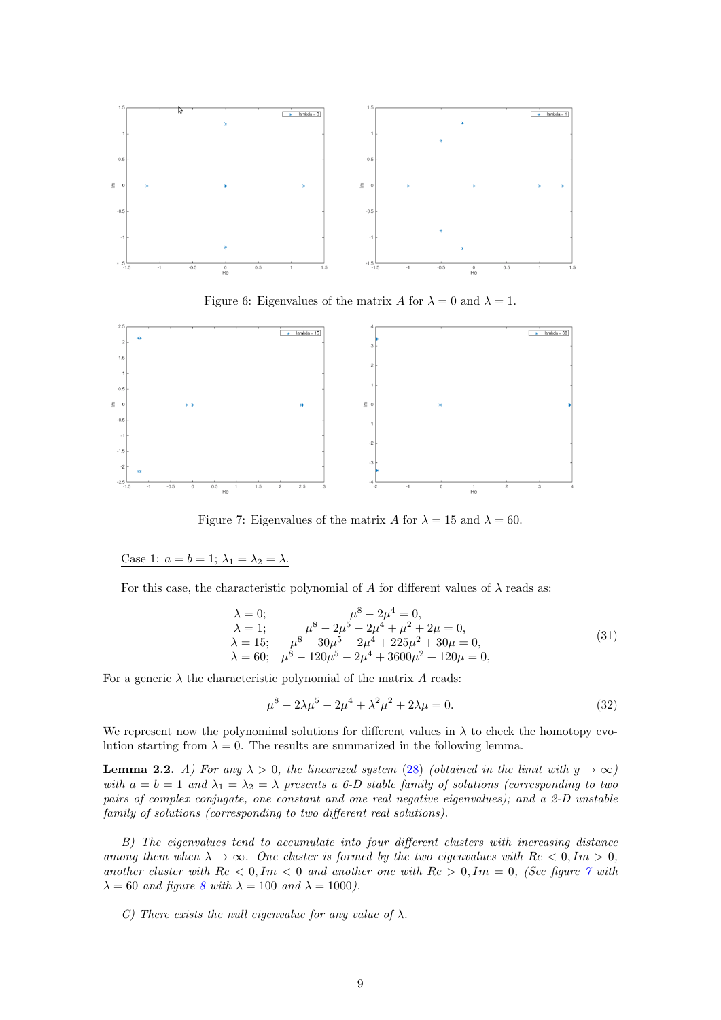

<span id="page-8-2"></span>Figure 6: Eigenvalues of the matrix A for  $\lambda = 0$  and  $\lambda = 1$ .



<span id="page-8-0"></span>Figure 7: Eigenvalues of the matrix A for  $\lambda = 15$  and  $\lambda = 60$ .

Case 1:  $a = b = 1$ ;  $\lambda_1 = \lambda_2 = \lambda$ .

For this case, the characteristic polynomial of A for different values of  $\lambda$  reads as:

$$
\lambda = 0; \qquad \mu^8 - 2\mu^4 = 0, \n\lambda = 1; \qquad \mu^8 - 2\mu^5 - 2\mu^4 + \mu^2 + 2\mu = 0, \n\lambda = 15; \qquad \mu^8 - 30\mu^5 - 2\mu^4 + 225\mu^2 + 30\mu = 0, \n\lambda = 60; \qquad \mu^8 - 120\mu^5 - 2\mu^4 + 3600\mu^2 + 120\mu = 0,
$$
\n(31)

For a generic  $\lambda$  the characteristic polynomial of the matrix A reads:

$$
\mu^8 - 2\lambda \mu^5 - 2\mu^4 + \lambda^2 \mu^2 + 2\lambda \mu = 0. \tag{32}
$$

We represent now the polynominal solutions for different values in  $\lambda$  to check the homotopy evolution starting from  $\lambda = 0$ . The results are summarized in the following lemma.

<span id="page-8-1"></span>**Lemma 2.2.** A) For any  $\lambda > 0$ , the linearized system [\(28\)](#page-7-1) (obtained in the limit with  $y \to \infty$ ) with  $a = b = 1$  and  $\lambda_1 = \lambda_2 = \lambda$  presents a 6-D stable family of solutions (corresponding to two pairs of complex conjugate, one constant and one real negative eigenvalues); and a 2-D unstable family of solutions (corresponding to two different real solutions).

B) The eigenvalues tend to accumulate into four different clusters with increasing distance among them when  $\lambda \to \infty$ . One cluster is formed by the two eigenvalues with  $Re < 0, Im > 0$ , another cluster with  $Re < 0, Im < 0$  and another one with  $Re > 0, Im = 0$ , (See figure [7](#page-8-0) with  $\lambda = 60$  and figure [8](#page-9-0) with  $\lambda = 100$  and  $\lambda = 1000$ ).

C) There exists the null eigenvalue for any value of  $\lambda$ .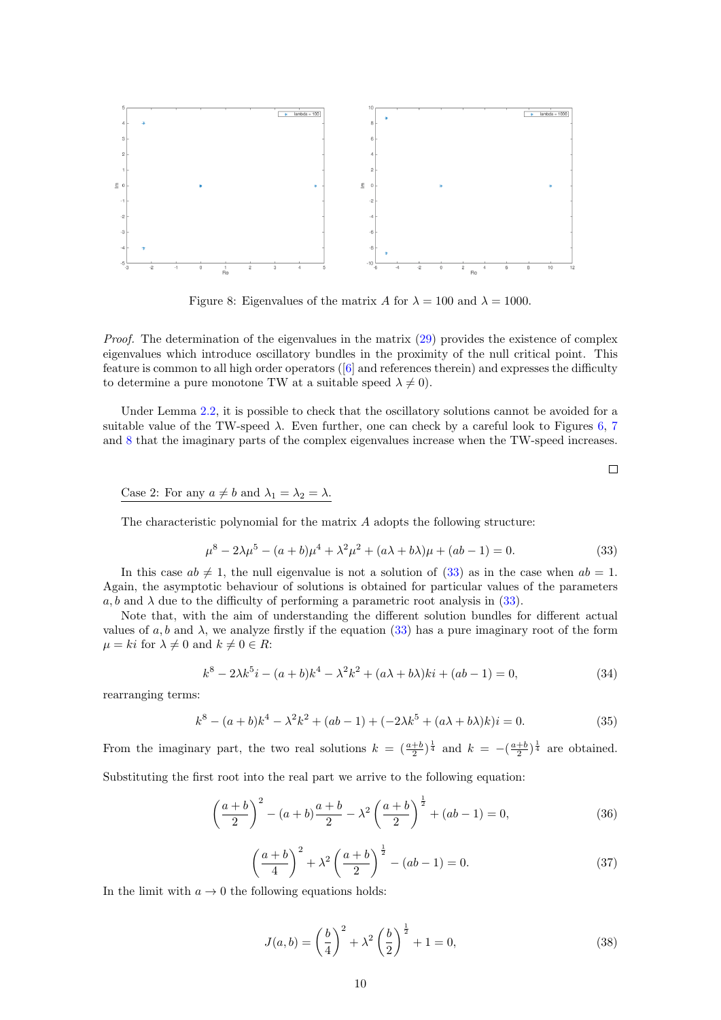

<span id="page-9-0"></span>Figure 8: Eigenvalues of the matrix A for  $\lambda = 100$  and  $\lambda = 1000$ .

*Proof.* The determination of the eigenvalues in the matrix  $(29)$  provides the existence of complex eigenvalues which introduce oscillatory bundles in the proximity of the null critical point. This feature is common to all high order operators ([\[6\]](#page-14-8) and references therein) and expresses the difficulty to determine a pure monotone TW at a suitable speed  $\lambda \neq 0$ .

Under Lemma [2.2,](#page-8-1) it is possible to check that the oscillatory solutions cannot be avoided for a suitable value of the TW-speed  $\lambda$ . Even further, one can check by a careful look to Figures [6,](#page-8-2) [7](#page-8-0) and [8](#page-9-0) that the imaginary parts of the complex eigenvalues increase when the TW-speed increases.

Case 2: For any  $a \neq b$  and  $\lambda_1 = \lambda_2 = \lambda$ .

<span id="page-9-1"></span>The characteristic polynomial for the matrix  $A$  adopts the following structure:

$$
\mu^8 - 2\lambda \mu^5 - (a+b)\mu^4 + \lambda^2 \mu^2 + (a\lambda + b\lambda)\mu + (ab-1) = 0.
$$
 (33)

In this case  $ab \neq 1$ , the null eigenvalue is not a solution of [\(33\)](#page-9-1) as in the case when  $ab = 1$ . Again, the asymptotic behaviour of solutions is obtained for particular values of the parameters  $a, b$  and  $\lambda$  due to the difficulty of performing a parametric root analysis in [\(33\)](#page-9-1).

Note that, with the aim of understanding the different solution bundles for different actual values of a, b and  $\lambda$ , we analyze firstly if the equation [\(33\)](#page-9-1) has a pure imaginary root of the form  $\mu = ki$  for  $\lambda \neq 0$  and  $k \neq 0 \in R$ :

$$
k^{8} - 2\lambda k^{5}i - (a+b)k^{4} - \lambda^{2}k^{2} + (a\lambda + b\lambda)ki + (ab - 1) = 0,
$$
\n(34)

rearranging terms:

$$
k^{8} - (a+b)k^{4} - \lambda^{2}k^{2} + (ab - 1) + (-2\lambda k^{5} + (a\lambda + b\lambda)k)i = 0.
$$
 (35)

From the imaginary part, the two real solutions  $k = \left(\frac{a+b}{2}\right)^{\frac{1}{4}}$  and  $k = -\left(\frac{a+b}{2}\right)^{\frac{1}{4}}$  are obtained.  $Substituting the first root$ 

<span id="page-9-3"></span>

$$
\left(\frac{a+b}{2}\right)^2 - (a+b)\frac{a+b}{2} - \lambda^2 \left(\frac{a+b}{2}\right)^{\frac{1}{2}} + (ab-1) = 0,\tag{36}
$$

$$
\left(\frac{a+b}{4}\right)^2 + \lambda^2 \left(\frac{a+b}{2}\right)^{\frac{1}{2}} - (ab-1) = 0.
$$
\n(37)

In the limit with  $a \to 0$  the following equations holds:

<span id="page-9-2"></span>
$$
J(a,b) = \left(\frac{b}{4}\right)^2 + \lambda^2 \left(\frac{b}{2}\right)^{\frac{1}{2}} + 1 = 0,
$$
\n(38)

 $\Box$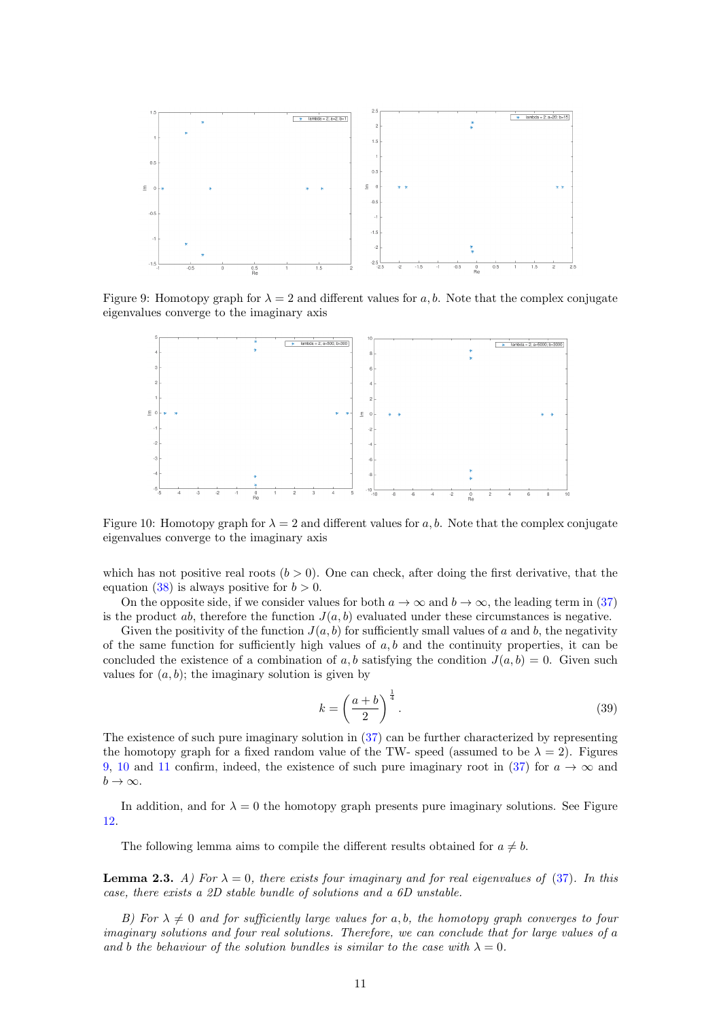

Figure 9: Homotopy graph for  $\lambda = 2$  and different values for a, b. Note that the complex conjugate eigenvalues converge to the imaginary axis

<span id="page-10-0"></span>

<span id="page-10-1"></span>Figure 10: Homotopy graph for  $\lambda = 2$  and different values for a, b. Note that the complex conjugate eigenvalues converge to the imaginary axis

which has not positive real roots  $(b > 0)$ . One can check, after doing the first derivative, that the equation [\(38\)](#page-9-2) is always positive for  $b > 0$ .

On the opposite side, if we consider values for both  $a \to \infty$  and  $b \to \infty$ , the leading term in [\(37\)](#page-9-3) is the product ab, therefore the function  $J(a, b)$  evaluated under these circumstances is negative.

Given the positivity of the function  $J(a, b)$  for sufficiently small values of a and b, the negativity of the same function for sufficiently high values of  $a, b$  and the continuity properties, it can be concluded the existence of a combination of a, b satisfying the condition  $J(a, b) = 0$ . Given such values for  $(a, b)$ ; the imaginary solution is given by

$$
k = \left(\frac{a+b}{2}\right)^{\frac{1}{4}}.\tag{39}
$$

The existence of such pure imaginary solution in [\(37\)](#page-9-3) can be further characterized by representing the homotopy graph for a fixed random value of the TW- speed (assumed to be  $\lambda = 2$ ). Figures [9,](#page-10-0) [10](#page-10-1) and [11](#page-11-0) confirm, indeed, the existence of such pure imaginary root in [\(37\)](#page-9-3) for  $a \to \infty$  and  $b \to \infty$ .

In addition, and for  $\lambda = 0$  the homotopy graph presents pure imaginary solutions. See Figure [12.](#page-11-1)

The following lemma aims to compile the different results obtained for  $a \neq b$ .

<span id="page-10-2"></span>**Lemma 2.3.** A) For  $\lambda = 0$ , there exists four imaginary and for real eigenvalues of [\(37\)](#page-9-3). In this case, there exists a 2D stable bundle of solutions and a 6D unstable.

B) For  $\lambda \neq 0$  and for sufficiently large values for a, b, the homotopy graph converges to four imaginary solutions and four real solutions. Therefore, we can conclude that for large values of a and b the behaviour of the solution bundles is similar to the case with  $\lambda = 0$ .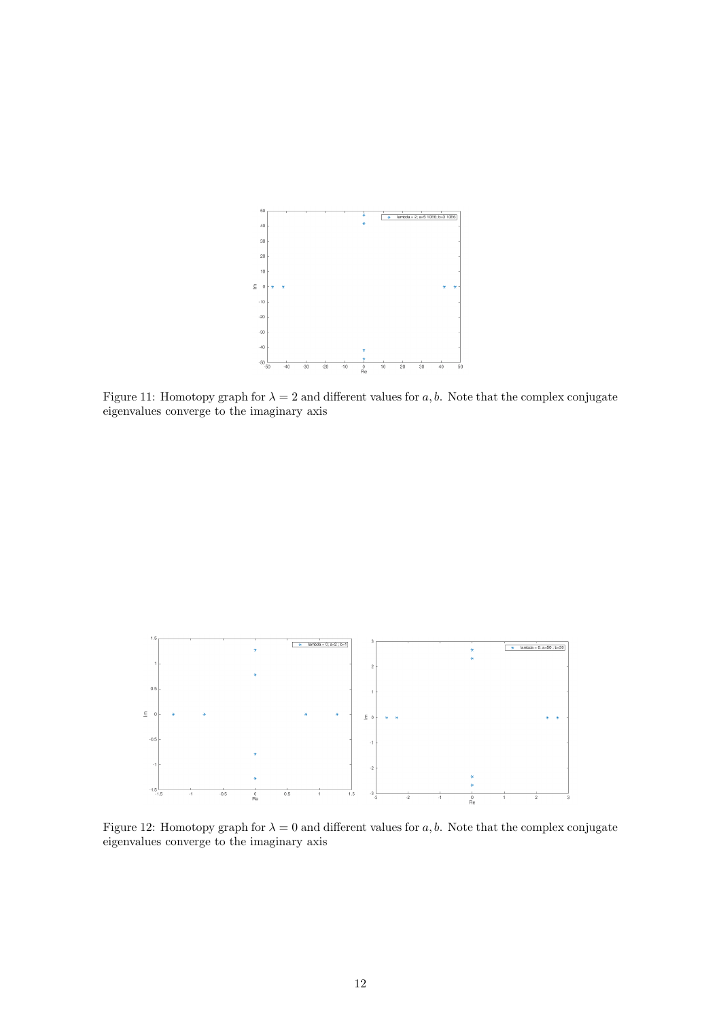

<span id="page-11-0"></span>Figure 11: Homotopy graph for  $\lambda = 2$  and different values for a, b. Note that the complex conjugate eigenvalues converge to the imaginary axis



<span id="page-11-1"></span>Figure 12: Homotopy graph for  $\lambda = 0$  and different values for a, b. Note that the complex conjugate eigenvalues converge to the imaginary axis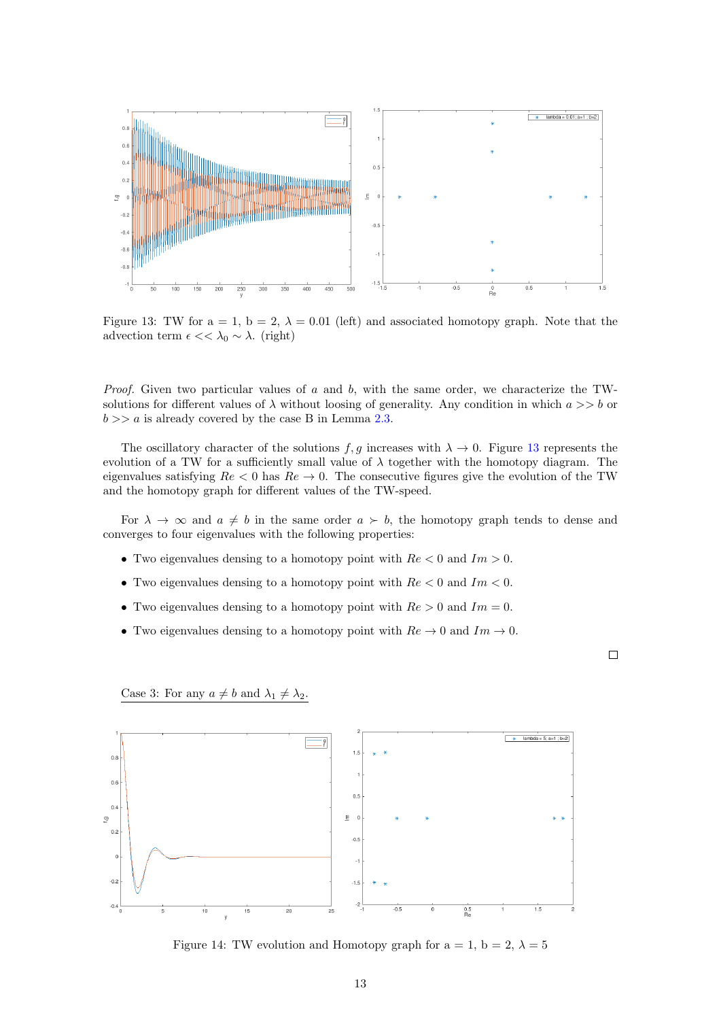

<span id="page-12-0"></span>Figure 13: TW for  $a = 1$ ,  $b = 2$ ,  $\lambda = 0.01$  (left) and associated homotopy graph. Note that the advection term  $\epsilon \ll \lambda_0 \sim \lambda$ . (right)

*Proof.* Given two particular values of  $a$  and  $b$ , with the same order, we characterize the TWsolutions for different values of  $\lambda$  without loosing of generality. Any condition in which  $a \gg b$  or  $b \gg a$  is already covered by the case B in Lemma [2.3.](#page-10-2)

The oscillatory character of the solutions f, g increases with  $\lambda \to 0$ . Figure [13](#page-12-0) represents the evolution of a TW for a sufficiently small value of  $\lambda$  together with the homotopy diagram. The eigenvalues satisfying  $Re < 0$  has  $Re \rightarrow 0$ . The consecutive figures give the evolution of the TW and the homotopy graph for different values of the TW-speed.

For  $\lambda \to \infty$  and  $a \neq b$  in the same order  $a \succ b$ , the homotopy graph tends to dense and converges to four eigenvalues with the following properties:

- Two eigenvalues densing to a homotopy point with  $Re < 0$  and  $Im > 0$ .
- Two eigenvalues densing to a homotopy point with  $Re < 0$  and  $Im < 0$ .
- Two eigenvalues densing to a homotopy point with  $Re > 0$  and  $Im = 0$ .
- Two eigenvalues densing to a homotopy point with  $Re \rightarrow 0$  and  $Im \rightarrow 0$ .

Case 3: For any  $a \neq b$  and  $\lambda_1 \neq \lambda_2$ .

 $\Box$ 



Figure 14: TW evolution and Homotopy graph for  $a = 1$ ,  $b = 2$ ,  $\lambda = 5$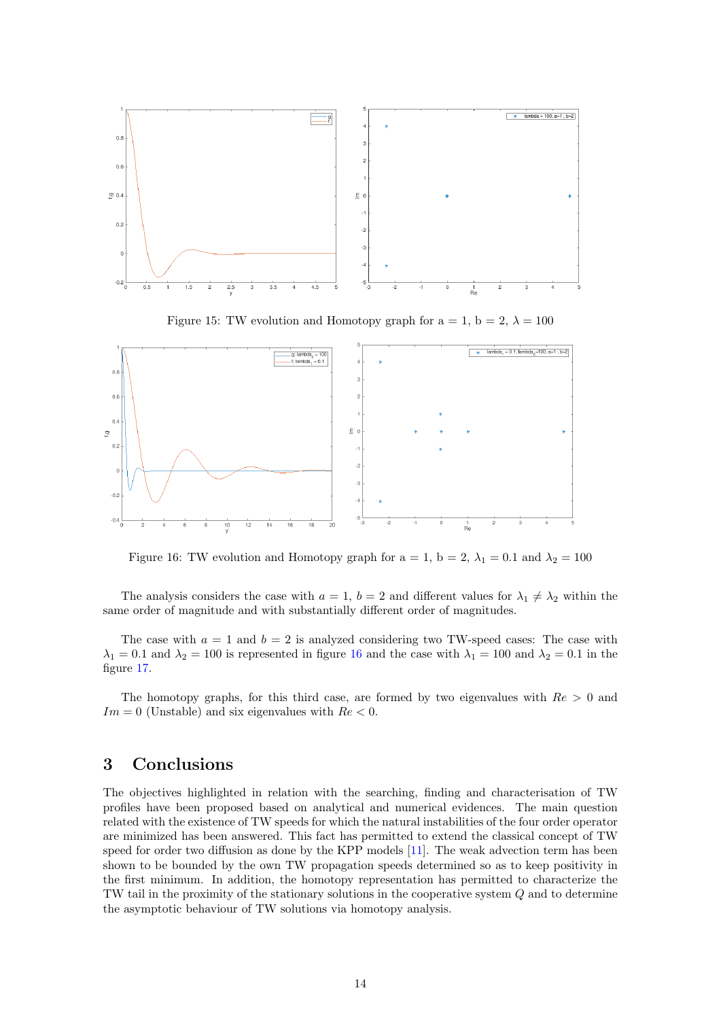

Figure 15: TW evolution and Homotopy graph for  $a = 1$ ,  $b = 2$ ,  $\lambda = 100$ 



<span id="page-13-0"></span>Figure 16: TW evolution and Homotopy graph for  $a = 1$ ,  $b = 2$ ,  $\lambda_1 = 0.1$  and  $\lambda_2 = 100$ 

The analysis considers the case with  $a = 1$ ,  $b = 2$  and different values for  $\lambda_1 \neq \lambda_2$  within the same order of magnitude and with substantially different order of magnitudes.

The case with  $a = 1$  and  $b = 2$  is analyzed considering two TW-speed cases: The case with  $\lambda_1 = 0.1$  and  $\lambda_2 = 100$  is represented in figure [16](#page-13-0) and the case with  $\lambda_1 = 100$  and  $\lambda_2 = 0.1$  in the figure [17.](#page-14-9)

The homotopy graphs, for this third case, are formed by two eigenvalues with  $Re > 0$  and  $Im = 0$  (Unstable) and six eigenvalues with  $Re < 0$ .

## 3 Conclusions

The objectives highlighted in relation with the searching, finding and characterisation of TW profiles have been proposed based on analytical and numerical evidences. The main question related with the existence of TW speeds for which the natural instabilities of the four order operator are minimized has been answered. This fact has permitted to extend the classical concept of TW speed for order two diffusion as done by the KPP models [\[11\]](#page-15-9). The weak advection term has been shown to be bounded by the own TW propagation speeds determined so as to keep positivity in the first minimum. In addition, the homotopy representation has permitted to characterize the TW tail in the proximity of the stationary solutions in the cooperative system Q and to determine the asymptotic behaviour of TW solutions via homotopy analysis.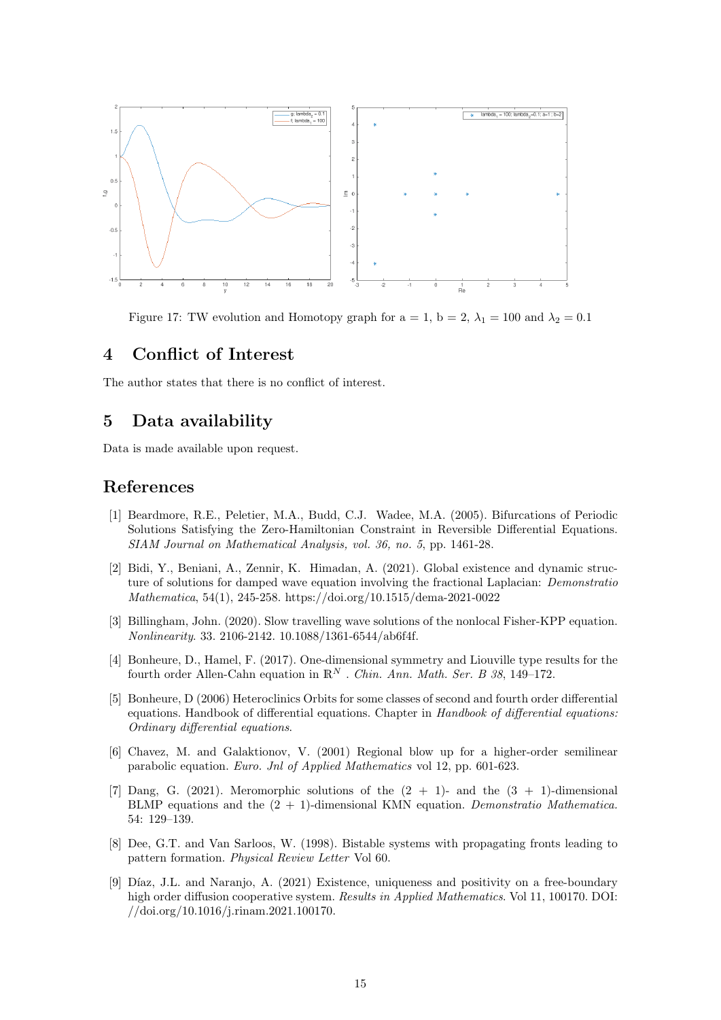

<span id="page-14-9"></span>Figure 17: TW evolution and Homotopy graph for  $a = 1$ ,  $b = 2$ ,  $\lambda_1 = 100$  and  $\lambda_2 = 0.1$ 

## 4 Conflict of Interest

The author states that there is no conflict of interest.

# 5 Data availability

Data is made available upon request.

## References

- <span id="page-14-6"></span>[1] Beardmore, R.E., Peletier, M.A., Budd, C.J. Wadee, M.A. (2005). Bifurcations of Periodic Solutions Satisfying the Zero-Hamiltonian Constraint in Reversible Differential Equations. SIAM Journal on Mathematical Analysis, vol. 36, no. 5, pp. 1461-28.
- <span id="page-14-5"></span>[2] Bidi, Y., Beniani, A., Zennir, K. Himadan, A. (2021). Global existence and dynamic structure of solutions for damped wave equation involving the fractional Laplacian: *Demonstratio* Mathematica, 54(1), 245-258. https://doi.org/10.1515/dema-2021-0022
- <span id="page-14-4"></span>[3] Billingham, John. (2020). Slow travelling wave solutions of the nonlocal Fisher-KPP equation. Nonlinearity. 33. 2106-2142. 10.1088/1361-6544/ab6f4f.
- <span id="page-14-0"></span>[4] Bonheure, D., Hamel, F. (2017). One-dimensional symmetry and Liouville type results for the fourth order Allen-Cahn equation in  $\mathbb{R}^N$ . Chin. Ann. Math. Ser. B 38, 149-172.
- <span id="page-14-2"></span>[5] Bonheure, D (2006) Heteroclinics Orbits for some classes of second and fourth order differential equations. Handbook of differential equations. Chapter in Handbook of differential equations: Ordinary differential equations.
- <span id="page-14-8"></span>[6] Chavez, M. and Galaktionov, V. (2001) Regional blow up for a higher-order semilinear parabolic equation. Euro. Jnl of Applied Mathematics vol 12, pp. 601-623.
- <span id="page-14-3"></span>[7] Dang, G. (2021). Meromorphic solutions of the  $(2 + 1)$ - and the  $(3 + 1)$ -dimensional BLMP equations and the  $(2 + 1)$ -dimensional KMN equation. Demonstratio Mathematica. 54: 129–139.
- <span id="page-14-1"></span>[8] Dee, G.T. and Van Sarloos, W. (1998). Bistable systems with propagating fronts leading to pattern formation. Physical Review Letter Vol 60.
- <span id="page-14-7"></span>[9] Díaz, J.L. and Naranjo, A. (2021) Existence, uniqueness and positivity on a free-boundary high order diffusion cooperative system. Results in Applied Mathematics. Vol 11, 100170. DOI: //doi.org/10.1016/j.rinam.2021.100170.